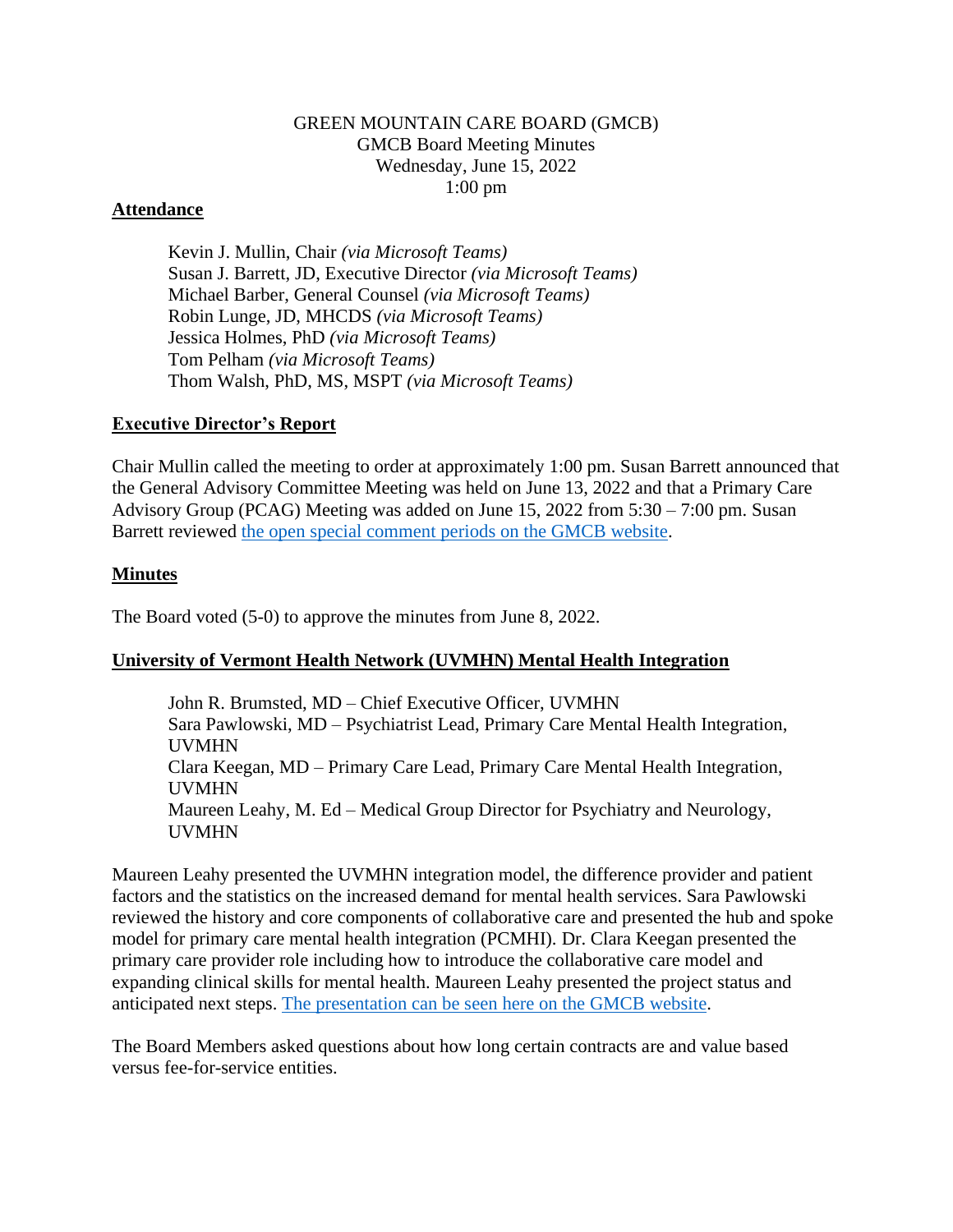### GREEN MOUNTAIN CARE BOARD (GMCB) GMCB Board Meeting Minutes Wednesday, June 15, 2022 1:00 pm

### **Attendance**

Kevin J. Mullin, Chair *(via Microsoft Teams)* Susan J. Barrett, JD, Executive Director *(via Microsoft Teams)* Michael Barber, General Counsel *(via Microsoft Teams)* Robin Lunge, JD, MHCDS *(via Microsoft Teams)* Jessica Holmes, PhD *(via Microsoft Teams)* Tom Pelham *(via Microsoft Teams)* Thom Walsh, PhD, MS, MSPT *(via Microsoft Teams)*

#### **Executive Director's Report**

Chair Mullin called the meeting to order at approximately 1:00 pm. Susan Barrett announced that the General Advisory Committee Meeting was held on June 13, 2022 and that a Primary Care Advisory Group (PCAG) Meeting was added on June 15, 2022 from 5:30 – 7:00 pm. Susan Barrett reviewed [the open special comment periods on the GMCB website.](https://gmcboard.vermont.gov/board/comment)

## **Minutes**

The Board voted (5-0) to approve the minutes from June 8, 2022.

## **University of Vermont Health Network (UVMHN) Mental Health Integration**

John R. Brumsted, MD – Chief Executive Officer, UVMHN Sara Pawlowski, MD – Psychiatrist Lead, Primary Care Mental Health Integration, UVMHN Clara Keegan, MD – Primary Care Lead, Primary Care Mental Health Integration, UVMHN Maureen Leahy, M. Ed – Medical Group Director for Psychiatry and Neurology, UVMHN

Maureen Leahy presented the UVMHN integration model, the difference provider and patient factors and the statistics on the increased demand for mental health services. Sara Pawlowski reviewed the history and core components of collaborative care and presented the hub and spoke model for primary care mental health integration (PCMHI). Dr. Clara Keegan presented the primary care provider role including how to introduce the collaborative care model and expanding clinical skills for mental health. Maureen Leahy presented the project status and anticipated next steps. [The presentation can be seen here on the GMCB website.](https://gmcboard.vermont.gov/document/primary-care-mental-health-integration-presentation)

The Board Members asked questions about how long certain contracts are and value based versus fee-for-service entities.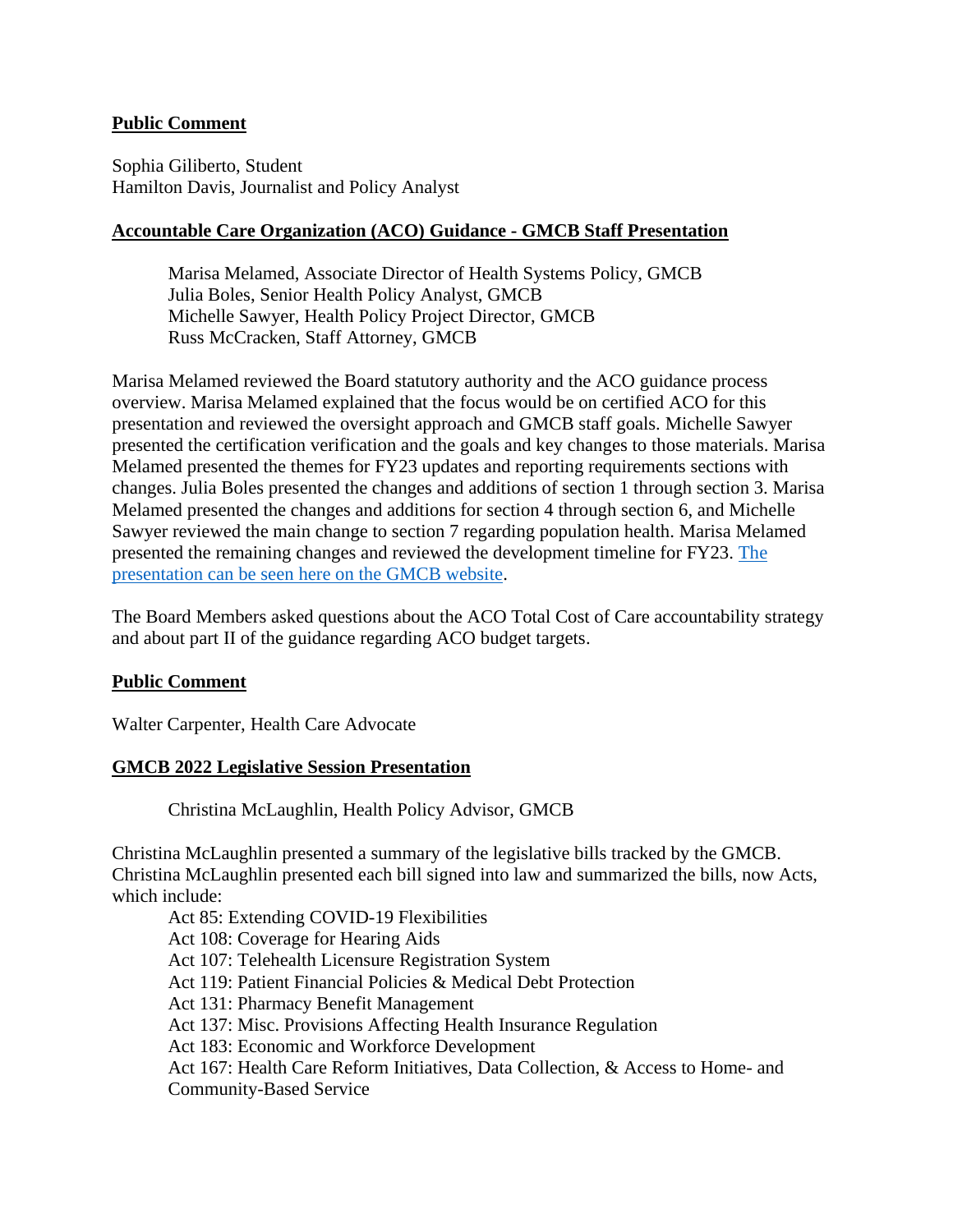#### **Public Comment**

Sophia Giliberto, Student Hamilton Davis, Journalist and Policy Analyst

#### **Accountable Care Organization (ACO) Guidance - GMCB Staff Presentation**

Marisa Melamed, Associate Director of Health Systems Policy, GMCB Julia Boles, Senior Health Policy Analyst, GMCB Michelle Sawyer, Health Policy Project Director, GMCB Russ McCracken, Staff Attorney, GMCB

Marisa Melamed reviewed the Board statutory authority and the ACO guidance process overview. Marisa Melamed explained that the focus would be on certified ACO for this presentation and reviewed the oversight approach and GMCB staff goals. Michelle Sawyer presented the certification verification and the goals and key changes to those materials. Marisa Melamed presented the themes for FY23 updates and reporting requirements sections with changes. Julia Boles presented the changes and additions of section 1 through section 3. Marisa Melamed presented the changes and additions for section 4 through section 6, and Michelle Sawyer reviewed the main change to section 7 regarding population health. Marisa Melamed presented the remaining changes and reviewed the development timeline for FY23. [The](https://gmcboard.vermont.gov/document/fy2023-aco-budget-guidance-and-certification-form-review)  [presentation can be seen here on the GMCB website.](https://gmcboard.vermont.gov/document/fy2023-aco-budget-guidance-and-certification-form-review)

The Board Members asked questions about the ACO Total Cost of Care accountability strategy and about part II of the guidance regarding ACO budget targets.

#### **Public Comment**

Walter Carpenter, Health Care Advocate

#### **GMCB 2022 Legislative Session Presentation**

Christina McLaughlin, Health Policy Advisor, GMCB

Christina McLaughlin presented a summary of the legislative bills tracked by the GMCB. Christina McLaughlin presented each bill signed into law and summarized the bills, now Acts, which include:

Act 85: Extending COVID-19 Flexibilities Act 108: Coverage for Hearing Aids Act 107: Telehealth Licensure Registration System Act 119: Patient Financial Policies & Medical Debt Protection Act 131: Pharmacy Benefit Management Act 137: Misc. Provisions Affecting Health Insurance Regulation Act 183: Economic and Workforce Development Act 167: Health Care Reform Initiatives, Data Collection, & Access to Home- and Community-Based Service